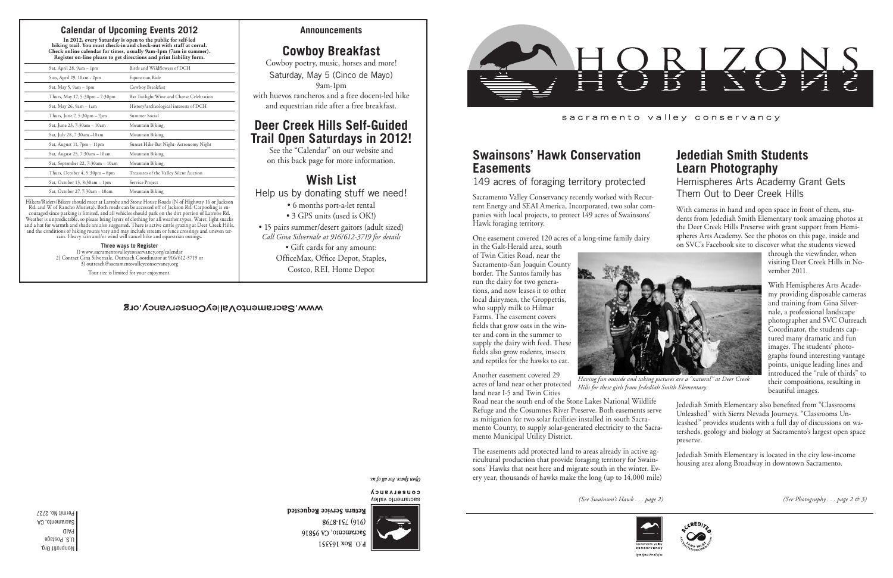Nonprofit Org. U.S. Postage PAID Sacramento, CA Permit No. 2727

#### sacramento valley conservancy

*(See Swainson's Hawk . . . page 2) (See Photography . . . page 2 & 3)*

## **Jedediah Smith Students Learn Photography**

Hemispheres Arts Academy Grant Gets Them Out to Deer Creek Hills

With cameras in hand and open space in front of them, students from Jedediah Smith Elementary took amazing photos at the Deer Creek Hills Preserve with grant support from Hemispheres Arts Academy. See the photos on this page, inside and on SVC's Facebook site to discover what the students viewed

> through the viewfinder, when visiting Deer Creek Hills in November 2011.

With Hemispheres Arts Academy providing disposable cameras and training from Gina Silvernale, a professional landscape photographer and SVC Outreach Coordinator, the students captured many dramatic and fun images. The students' photographs found interesting vantage points, unique leading lines and introduced the "rule of thirds" to their compositions, resulting in beautiful images.

Jedediah Smith Elementary is located in the city low-income housing area along Broadway in downtown Sacramento.





## **Swainsons' Hawk Conservation Easements**

149 acres of foraging territory protected

Sacramento Valley Conservancy recently worked with Recurrent Energy and SEAI America, Incorporated, two solar companies with local projects, to protect 149 acres of Swainsons' Hawk foraging territory.

One easement covered 120 acres of a long-time family dairy

Jedediah Smith Elementary also benefited from "Classrooms Unleashed" with Sierra Nevada Journeys. "Classrooms Unleashed" provides students with a full day of discussions on watersheds, geology and biology at Sacramento's largest open space preserve. Road near the south end of the Stone Lakes National Wildlife Refuge and the Cosumnes River Preserve. Both easements serve as mitigation for two solar facilities installed in south Sacramento County, to supply solar-generated electricity to the Sacramento Municipal Utility District.

in the Galt-Herald area, south of Twin Cities Road, near the Sacramento-San Joaquin County border. The Santos family has run the dairy for two generations, and now leases it to other local dairymen, the Groppettis, who supply milk to Hilmar Farms. The easement covers fields that grow oats in the winter and corn in the summer to supply the dairy with feed. These fields also grow rodents, insects and reptiles for the hawks to eat.

Another easement covered 29 acres of land near other protected land near I-5 and Twin Cities

The easements add protected land to areas already in active agricultural production that provide foraging territory for Swainsons' Hawks that nest here and migrate south in the winter. Every year, thousands of hawks make the long (up to 14,000 mile)



Open Space. For all of i

Return Service Requested

*Having fun outside and taking pictures are a "natural" at Deer Creek* 



*Hills for these girls from Jedediah Smith Elementary.*

**Announcements**

# **Cowboy Breakfast**

Cowboy poetry, music, horses and more! Saturday, May 5 (Cinco de Mayo) 9am-1pm with huevos rancheros and a free docent-led hike

and equestrian ride after a free breakfast.

# **Deer Creek Hills Self-Guided Trail Open Saturdays in 2012!**

See the "Calendar" on our website and on this back page for more information.

# **Wish List**

Help us by donating stuff we need!

- 6 months port-a-let rental
- 3 GPS units (used is OK!)
- 15 pairs summer/desert gaitors (adult sized) *Call Gina Silvernale at 916/612-3719 for details*
	- Gift cards for any amount:
	- OfficeMax, Office Depot, Staples,
		- Costco, REI, Home Depot

#### open Space For all by the

CONSELASUCA sacramento valley



 $86/8 - 15/916$ Sacramento, CA 95816 P.O. Box 163351



### **Calendar of Upcoming Events 2012**

**In 2012, every Saturday is open to the public for self-led hiking trail. You must check-in and check-out with staff at corral. Check online calendar for times, usually 9am-1pm (7am in summer). Register on-line please to get directions and print liability form.**

| Sat, April 28, 9am - 1pm                      | Birds and Wildflowers of DCH             |
|-----------------------------------------------|------------------------------------------|
| Sun, April 29, 10am - 2pm                     | Equestrian Ride                          |
| Sat, May 5, $9am - 1pm$                       | Cowboy Breakfast                         |
| Thurs, May 17, 5:30pm - 7:30pm                | Bat Twilight Wine and Cheese Celebration |
| Sat, May 26, 9am - 1am                        | History/archeological interests of DCH   |
| Thurs, June $7, 5:30 \text{pm} - 7 \text{pm}$ | Summer Social                            |
| Sat, June 23, 7:30am - 10am                   | Mountain Biking                          |
| Sat, July 28, 7:30am -10am                    | Mountain Biking                          |
| Sat, August 11, 7pm - 11pm                    | Sunset Hike-Bat Night- Astronomy Night   |
| Sat, August 25, 7:30am - 10am                 | Mountain Biking                          |
| Sat, September 22, 7:30am - 10am              | Mountain Biking                          |
| Thurs, October 4, 5:30pm – 8pm                | Treasures of the Valley Silent Auction   |
| Sat, October 13, 8:30am - 1pm                 | Service Project                          |
| Sat, October 27, 7:30am - 10am                | Mountain Biking                          |
|                                               |                                          |

Hikers/Riders/Bikers should meet at Latrobe and Stone House Roads (N of Highway 16 or Jackson Rd. and W of Rancho Murieta). Both roads can be accessed off of Jackson Rd. Carpooling is encouraged since parking is limited, and all vehicles should park on the dirt portion of Latrobe Rd. Weather is unpredictable, so please bring layers of clothing for all weather types. Water, light snacks and a hat for warmth and shade are also suggested. There is active cattle grazing at Deer Creek Hills, and the conditions of hiking routes vary and may include stream or fence crossings and uneven terrain. Heavy rain and/or wind will cancel hike and equestrian outings.

#### **Three ways to Register**

1) www.sacramentovalleyconservancy.org/calendar 2) Contact Gina Silvernale, Outreach Coordinator at 916/612-3719 or 3) outreach@sacramentovalleyconservancy.org

Tour size is limited for your enjoyment.

#### WWW.SacramentoValleyConservancy.org